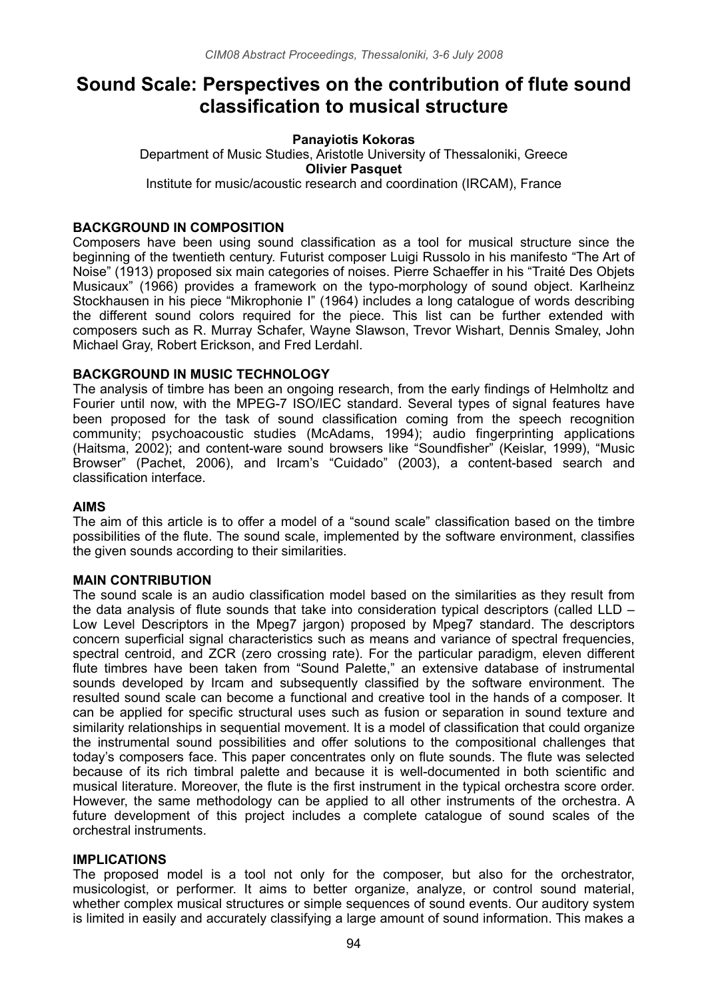# **Sound Scale: Perspectives on the contribution of flute sound classification to musical structure**

#### **Panayiotis Kokoras** Department of Music Studies, Aristotle University of Thessaloniki, Greece **Olivier Pasquet** Institute for music/acoustic research and coordination (IRCAM), France

## **BACKGROUND IN COMPOSITION**

Composers have been using sound classification as a tool for musical structure since the beginning of the twentieth century. Futurist composer Luigi Russolo in his manifesto "The Art of Noise" (1913) proposed six main categories of noises. Pierre Schaeffer in his "Traité Des Objets Musicaux" (1966) provides a framework on the typo-morphology of sound object. Karlheinz Stockhausen in his piece "Mikrophonie Ι" (1964) includes a long catalogue of words describing the different sound colors required for the piece. This list can be further extended with composers such as R. Murray Schafer, Wayne Slawson, Trevor Wishart, Dennis Smaley, John Michael Gray, Robert Erickson, and Fred Lerdahl.

## **BACKGROUND IN MUSIC TECHNOLOGY**

The analysis of timbre has been an ongoing research, from the early findings of Helmholtz and Fourier until now, with the MPEG-7 ISO/IEC standard. Several types of signal features have been proposed for the task of sound classification coming from the speech recognition community; psychoacoustic studies (McAdams, 1994); audio fingerprinting applications (Haitsma, 2002); and content-ware sound browsers like "Soundfisher" (Keislar, 1999), "Music Browser" (Pachet, 2006), and Ircam's "Cuidado" (2003), a content-based search and classification interface.

### **AIMS**

The aim of this article is to offer a model of a "sound scale" classification based on the timbre possibilities of the flute. The sound scale, implemented by the software environment, classifies the given sounds according to their similarities.

### **MAIN CONTRIBUTION**

The sound scale is an audio classification model based on the similarities as they result from the data analysis of flute sounds that take into consideration typical descriptors (called LLD – Low Level Descriptors in the Mpeg7 jargon) proposed by Mpeg7 standard. The descriptors concern superficial signal characteristics such as means and variance of spectral frequencies, spectral centroid, and ZCR (zero crossing rate). For the particular paradigm, eleven different flute timbres have been taken from "Sound Palette," an extensive database of instrumental sounds developed by Ircam and subsequently classified by the software environment. The resulted sound scale can become a functional and creative tool in the hands of a composer. It can be applied for specific structural uses such as fusion or separation in sound texture and similarity relationships in sequential movement. It is a model of classification that could organize the instrumental sound possibilities and offer solutions to the compositional challenges that today's composers face. This paper concentrates only on flute sounds. The flute was selected because of its rich timbral palette and because it is well-documented in both scientific and musical literature. Moreover, the flute is the first instrument in the typical orchestra score order. However, the same methodology can be applied to all other instruments of the orchestra. A future development of this project includes a complete catalogue of sound scales of the orchestral instruments.

### **IMPLICATIONS**

The proposed model is a tool not only for the composer, but also for the orchestrator, musicologist, or performer. It aims to better organize, analyze, or control sound material, whether complex musical structures or simple sequences of sound events. Our auditory system is limited in easily and accurately classifying a large amount of sound information. This makes a